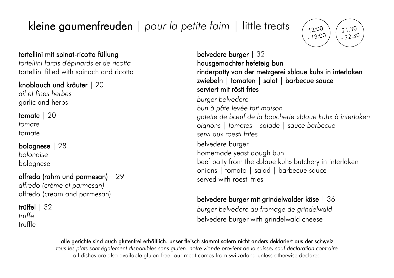# kleine gaumenfreuden | *pour la petite faim* | little treats



### tortellini mit spinat-ricotta füllung

*tortellini farcis d'épinards et de ricotta* tortellini filled with spinach and ricotta

### knoblauch und kräuter | 20

*ail et fines herbes* garlic and herbs

tomate | 20 *tomate* tomate

## bolognese | 28

*bolonaise* bolognese

## alfredo (rahm und parmesan) | 29

*alfredo (crème et parmesan)* alfredo (cream and parmesan)

#### trüffel | 32 *truffe* truffle

## belvedere burger | 32 hausgemachter hefeteig bun rinderpatty von der metzgerei «blaue kuh» in interlaken zwiebeln | tomaten | salat | barbecue sauce serviert mit rösti fries

*burger belvedere bun à pâte levée fait maison galette de bœuf de la boucherie «blaue kuh» à interlaken oignons | tomates | salade | sauce barbecue servi aux roesti frites*  belvedere burger homemade yeast dough bun beef patty from the «blaue kuh» butchery in interlaken onions | tomato | salad | barbecue sauce served with roesti fries

## belvedere burger mit grindelwalder käse | 36

*burger belvedere au fromage de grindelwald* belvedere burger with grindelwald cheese

#### alle gerichte sind auch glutenfrei erhältlich. unser fleisch stammt sofern nicht anders deklariert aus der schweiz

*tous les plats sont également disponibles sans gluten. notre viande provient de la suisse, sauf déclaration contraire* all dishes are also available gluten-free. our meat comes from switzerland unless otherwise declared